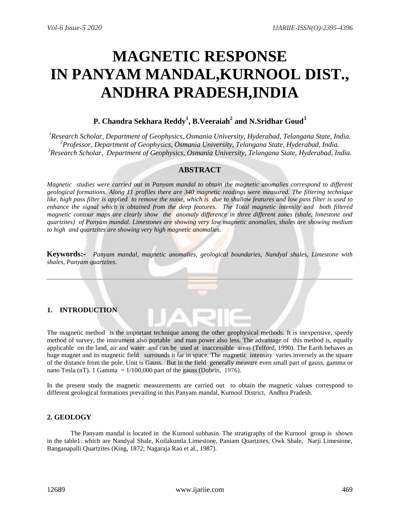# **MAGNETIC RESPONSE IN PANYAM MANDAL,KURNOOL DIST., ANDHRA PRADESH,INDIA**

## **P. Chandra Sekhara Reddy<sup>1</sup> , B.Veeraiah<sup>2</sup> and N.Sridhar Goud<sup>3</sup>**

*<sup>1</sup>Research Scholar, Department of Geophysics, Osmania University, Hyderabad, Telangana State, India. <sup>2</sup>Professor, Department of Geophysics, Osmania University, Telangana State, Hyderabad, India. <sup>3</sup>Research Scholar, Department of Geophysics, Osmania University, Telangana State, Hyderabad, India.*

## **ABSTRACT**

*Magnetic studies were carried out in Panyam mandal to obtain the magnetic anomalies correspond to different geological formations. Along 11 profiles there are 340 magnetic readings were measured. The filtering technique like, high pass filter is applied to remove the noise, which is due to shallow features and low pass filter is used to enhance the signal which is obtained from the deep features. The Total magnetic intensity and both filtered magnetic contour maps are clearly show the anomaly difference in three different zones (shale, limestone and quartzites) of Panyam mandal. Limestones are showing very low magnetic anomalies, shales are showing medium to high and quartzites are showing very high magnetic anomalies.*

**Keywords:-** *Panyam mandal, magnetic anomalies, geological boundaries, Nandyal shales, Limestone with shales, Panyam quartzites.*

## **1. INTRODUCTION**

The magnetic method is the important technique among the other geophysical methods. It is inexpensive, speedy method of survey, the instrument also portable and man power also less. The advantage of this method is, equally applicable on the land, air and water and can be used at inaccessible areas (Telford, 1990). The Earth behaves as huge magnet and its magnetic field surrounds it far in space. The magnetic intensity varies inversely as the square of the distance from the pole. Unit is Gauss. But in the field generally measure even small part of gauss, gamma or nano Tesla (nT). 1 Gamma =  $1/100,000$  part of the gauss (Dobrin, 1976).

In the present study the magnetic measurements are carried out to obtain the magnetic values correspond to different geological formations prevailing in this Panyam mandal, Kurnool District, Andhra Pradesh.

## **2. GEOLOGY**

The Panyam mandal is located in the Kurnool subbasin. The stratigraphy of the Kurnool group is shown in the table1: which are Nandyal Shale, Koilakuntla Limestone, Paniam Quartzites, Owk Shale, Narji Limestone, Banganapalli Quartzites (King, 1872; Nagaraja Rao et al., 1987).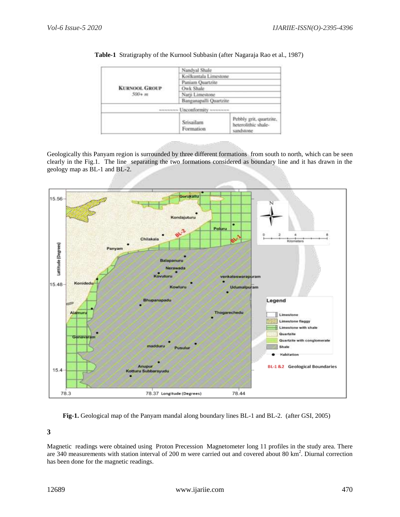

**Table-1** Stratigraphy of the Kurnool Subbasin (after Nagaraja Rao et al., 1987)

Geologically this Panyam region is surrounded by three different formations from south to north, which can be seen clearly in the Fig.1. The line separating the two formations considered as boundary line and it has drawn in the geology map as BL-1 and BL-2.



**Fig-1.** Geological map of the Panyam mandal along boundary lines BL-1 and BL-2. (after GSI, 2005)

**3** 

Magnetic readings were obtained using Proton Precession Magnetometer long 11 profiles in the study area. There are 340 measurements with station interval of 200 m were carried out and covered about 80 km<sup>2</sup>. Diurnal correction has been done for the magnetic readings.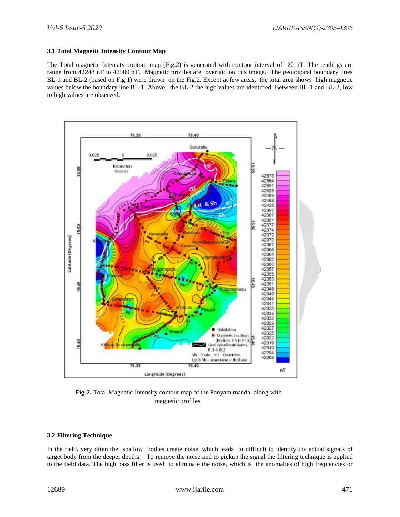#### **3.1 Total Magnetic Intensity Contour Map**

The Total magnetic Intensity contour map (Fig.2) is generated with contour interval of 20 nT. The readings are range from 42248 nT to 42500 nT. Magnetic profiles are overlaid on this image. The geologocal boundary lines BL-1 and BL-2 (based on Fig.1) were drawn on the Fig.2. Except at few areas, the total area shows high magnetic values below the boundary line BL-1. Above the BL-2 the high values are identified. Between BL-1 and BL-2, low to high values are observed.



**Fig-2.** Total Magnetic Intensity contour map of the Panyam mandal along with magnetic profiles.

#### **3.2 Filtering Technique**

In the field, very often the shallow bodies create noise, which leads to difficult to identify the actual signals of target body from the deeper depths. To remove the noise and to pickup the signal the filtering technique is applied to the field data. The high pass filter is used to eliminate the noise, which is the anomalies of high frequencies or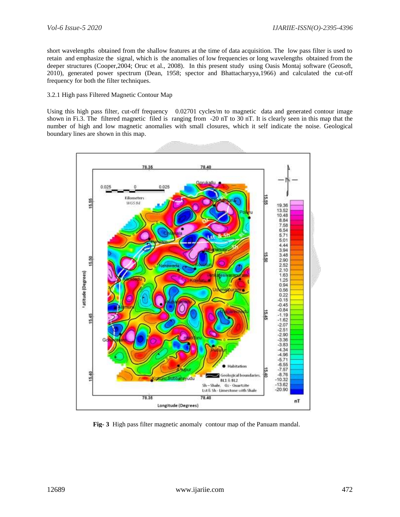short wavelengths obtained from the shallow features at the time of data acquisition. The low pass filter is used to retain and emphasize the signal, which is the anomalies of low frequencies or long wavelengths obtained from the deeper structures (Cooper,2004; Oruc et al., 2008). In this present study using Oasis Montaj software (Geosoft, 2010), generated power spectrum (Dean, 1958; spector and Bhattacharyya,1966) and calculated the cut-off frequency for both the filter techniques.

#### 3.2.1 High pass Filtered Magnetic Contour Map

Using this high pass filter, cut-off frequency 0.02701 cycles/m to magnetic data and generated contour image shown in Fi.3. The filtered magnetic filed is ranging from -20 nT to 30 nT. It is clearly seen in this map that the number of high and low magnetic anomalies with small closures, which it self indicate the noise. Geological boundary lines are shown in this map.



**Fig- 3** High pass filter magnetic anomaly contour map of the Panuam mandal.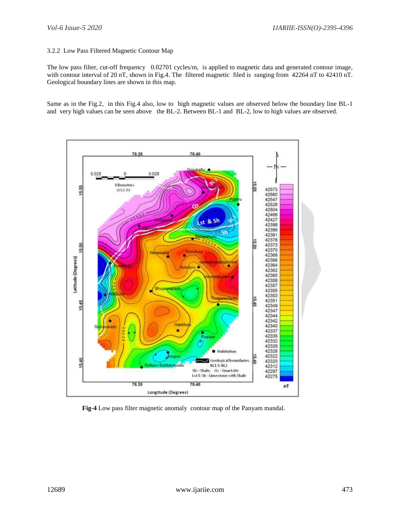#### 3.2.2 Low Pass Filtered Magnetic Contour Map

The low pass filter, cut-off frequency 0.02701 cycles/m, is applied to magnetic data and generated contour image, with contour interval of 20 nT, shown in Fig.4. The filtered magnetic filed is ranging from 42264 nT to 42410 nT. Geological boundary lines are shown in this map.

Same as in the Fig.2, in this Fig.4 also, low to high magnetic values are observed below the boundary line BL-1 and very high values can be seen above the BL-2. Between BL-1 and BL-2, low to high values are observed.



**Fig-4** Low pass filter magnetic anomaly contour map of the Panyam mandal.